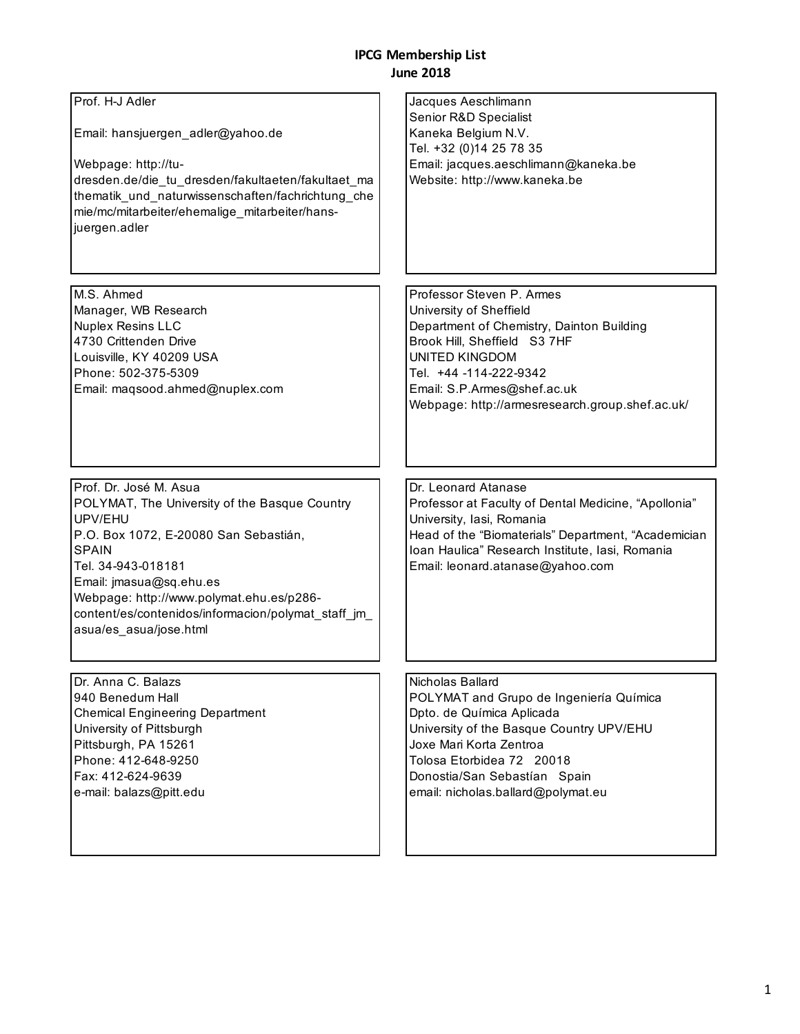#### **IPCG Membership List June 2018**

| Prof. H-J Adler<br>Email: hansjuergen_adler@yahoo.de<br>Webpage: http://tu-<br>dresden.de/die_tu_dresden/fakultaeten/fakultaet_ma<br>thematik_und_naturwissenschaften/fachrichtung_che<br>mie/mc/mitarbeiter/ehemalige_mitarbeiter/hans-<br>juergen.adler                                                                 | Jacques Aeschlimann<br>Senior R&D Specialist<br>Kaneka Belgium N.V.<br>Tel. +32 (0)14 25 78 35<br>Email: jacques.aeschlimann@kaneka.be<br>Website: http://www.kaneka.be                                                                                                |
|---------------------------------------------------------------------------------------------------------------------------------------------------------------------------------------------------------------------------------------------------------------------------------------------------------------------------|------------------------------------------------------------------------------------------------------------------------------------------------------------------------------------------------------------------------------------------------------------------------|
| M.S. Ahmed<br>Manager, WB Research<br><b>Nuplex Resins LLC</b><br>4730 Crittenden Drive<br>Louisville, KY 40209 USA<br>Phone: 502-375-5309<br>Email: maqsood.ahmed@nuplex.com                                                                                                                                             | Professor Steven P. Armes<br>University of Sheffield<br>Department of Chemistry, Dainton Building<br>Brook Hill, Sheffield S3 7HF<br><b>UNITED KINGDOM</b><br>Tel. +44 -114-222-9342<br>Email: S.P.Armes@shef.ac.uk<br>Webpage: http://armesresearch.group.shef.ac.uk/ |
| Prof. Dr. José M. Asua<br>POLYMAT, The University of the Basque Country<br>UPV/EHU<br>P.O. Box 1072, E-20080 San Sebastián,<br><b>SPAIN</b><br>Tel. 34-943-018181<br>Email: jmasua@sq.ehu.es<br>Webpage: http://www.polymat.ehu.es/p286-<br>content/es/contenidos/informacion/polymat_staff_jm_<br>asua/es_asua/jose.html | Dr. Leonard Atanase<br>Professor at Faculty of Dental Medicine, "Apollonia"<br>University, Iasi, Romania<br>Head of the "Biomaterials" Department, "Academician<br>Ioan Haulica" Research Institute, Iasi, Romania<br>Email: leonard.atanase@yahoo.com                 |
| Dr. Anna C. Balazs<br>940 Benedum Hall<br><b>Chemical Engineering Department</b><br>University of Pittsburgh<br>Pittsburgh, PA 15261<br>Phone: 412-648-9250<br>Fax: 412-624-9639<br>e-mail: balazs@pitt.edu                                                                                                               | Nicholas Ballard<br>POLYMAT and Grupo de Ingeniería Química<br>Dpto. de Química Aplicada<br>University of the Basque Country UPV/EHU<br>Joxe Mari Korta Zentroa<br>Tolosa Etorbidea 72 20018<br>Donostia/San Sebastían Spain<br>email: nicholas.ballard@polymat.eu     |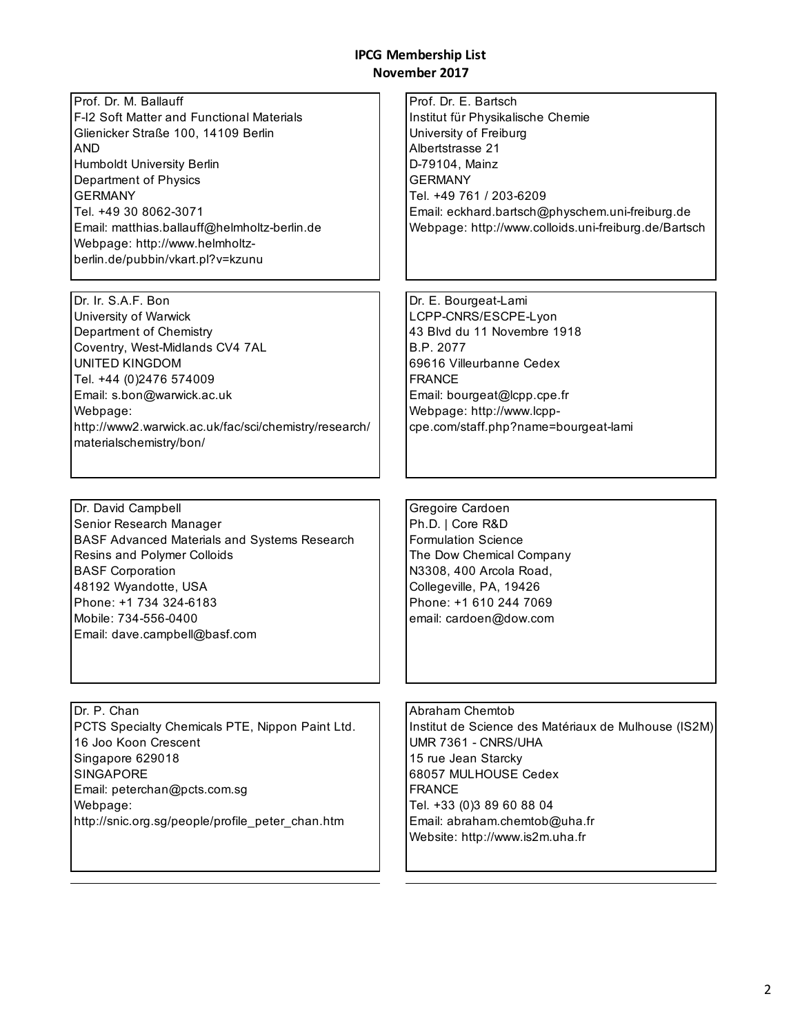Prof. Dr. M. Ballauff F-I2 Soft Matter and Functional Materials Glienicker Straße 100, 14109 Berlin AND Humboldt University Berlin Department of Physics GERMANY Tel. +49 30 8062-3071 Email: matthias.ballauff@helmholtz-berlin.de Webpage: http://www.helmholtzberlin.de/pubbin/vkart.pl?v=kzunu

Dr. Ir. S.A.F. Bon University of Warwick Department of Chemistry Coventry, West-Midlands CV4 7AL UNITED KINGDOM Tel. +44 (0)2476 574009 Email: s.bon@warwick.ac.uk Webpage: http://www2.warwick.ac.uk/fac/sci/chemistry/research/ materialschemistry/bon/

Dr. David Campbell Senior Research Manager BASF Advanced Materials and Systems Research Resins and Polymer Colloids BASF Corporation 48192 Wyandotte, USA Phone: +1 734 324-6183 Mobile: 734-556-0400 Email: dave.campbell@basf.com

Dr. P. Chan PCTS Specialty Chemicals PTE, Nippon Paint Ltd. 16 Joo Koon Crescent Singapore 629018 SINGAPORE Email: peterchan@pcts.com.sg Webpage: http://snic.org.sg/people/profile\_peter\_chan.htm

Prof. Dr. E. Bartsch Institut für Physikalische Chemie University of Freiburg Albertstrasse 21 D-79104, Mainz GERMANY Tel. +49 761 / 203-6209 Email: eckhard.bartsch@physchem.uni-freiburg.de Webpage: http://www.colloids.uni-freiburg.de/Bartsch

Dr. E. Bourgeat-Lami LCPP-CNRS/ESCPE-Lyon 43 Blvd du 11 Novembre 1918 B.P. 2077 69616 Villeurbanne Cedex FRANCE Email: bourgeat@lcpp.cpe.fr Webpage: http://www.lcppcpe.com/staff.php?name=bourgeat-lami

Gregoire Cardoen Ph.D. | Core R&D Formulation Science The Dow Chemical Company N3308, 400 Arcola Road, Collegeville, PA, 19426 Phone: +1 610 244 7069 email: cardoen@dow.com

Abraham Chemtob Institut de Science des Matériaux de Mulhouse (IS2M) UMR 7361 - CNRS/UHA 15 rue Jean Starcky 68057 MULHOUSE Cedex FRANCE Tel. +33 (0)3 89 60 88 04 Email: abraham.chemtob@uha.fr Website: http://www.is2m.uha.fr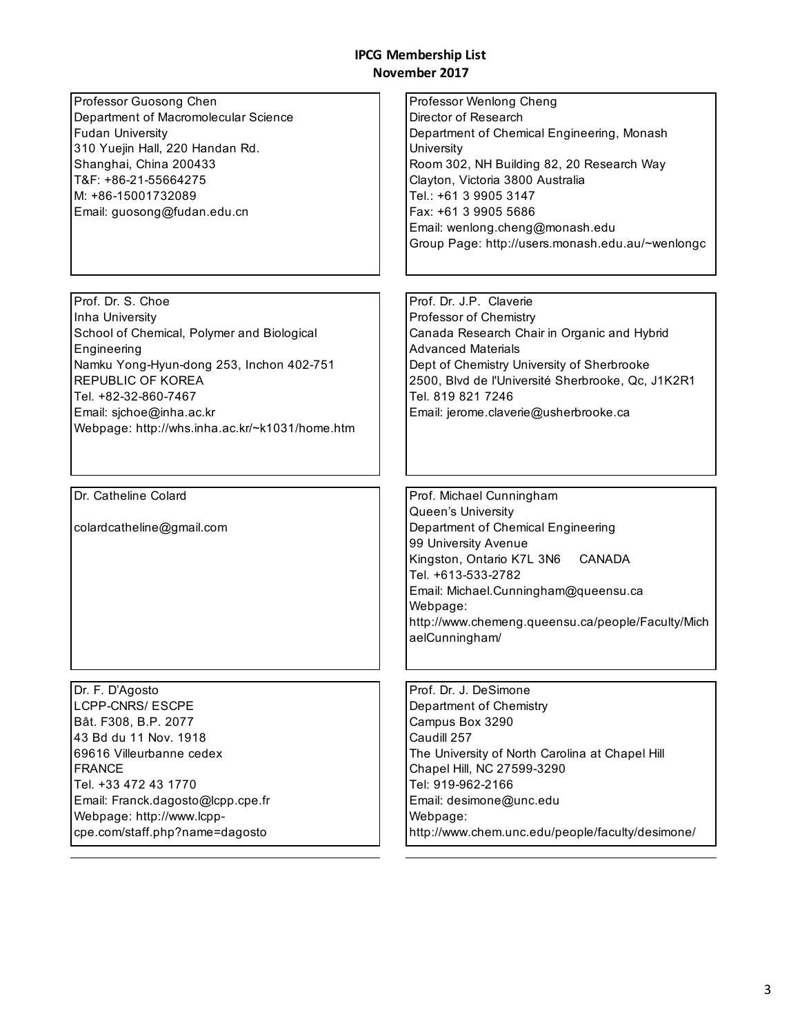| Professor Guosong Chen<br>Department of Macromolecular Science<br><b>Fudan University</b><br>310 Yuejin Hall, 220 Handan Rd.<br>Shanghai, China 200433<br>T&F: +86-21-55664275<br>M: +86-15001732089<br>Email: guosong@fudan.edu.cn                 | Professor Wenlong Cheng<br>Director of Research<br>Department of Chemical Engineering, Monash<br>University<br>Room 302, NH Building 82, 20 Research Way<br>Clayton, Victoria 3800 Australia<br>Tel.: +61 3 9905 3147<br>Fax: +61 3 9905 5686<br>Email: wenlong.cheng@monash.edu<br>Group Page: http://users.monash.edu.au/~wenlongc |
|-----------------------------------------------------------------------------------------------------------------------------------------------------------------------------------------------------------------------------------------------------|--------------------------------------------------------------------------------------------------------------------------------------------------------------------------------------------------------------------------------------------------------------------------------------------------------------------------------------|
| Prof. Dr. S. Choe                                                                                                                                                                                                                                   | Prof. Dr. J.P. Claverie                                                                                                                                                                                                                                                                                                              |
| Inha University<br>School of Chemical, Polymer and Biological<br>Engineering<br>Namku Yong-Hyun-dong 253, Inchon 402-751<br>REPUBLIC OF KOREA<br>Tel. +82-32-860-7467<br>Email: sjchoe@inha.ac.kr<br>Webpage: http://whs.inha.ac.kr/~k1031/home.htm | Professor of Chemistry<br>Canada Research Chair in Organic and Hybrid<br><b>Advanced Materials</b><br>Dept of Chemistry University of Sherbrooke<br>2500, Blvd de l'Université Sherbrooke, Qc, J1K2R1<br>Tel. 819 821 7246<br>Email: jerome.claverie@usherbrooke.ca                                                                  |
|                                                                                                                                                                                                                                                     |                                                                                                                                                                                                                                                                                                                                      |
| Dr. Catheline Colard                                                                                                                                                                                                                                | Prof. Michael Cunningham                                                                                                                                                                                                                                                                                                             |
| colardcatheline@gmail.com                                                                                                                                                                                                                           | Queen's University<br>Department of Chemical Engineering<br>99 University Avenue<br>Kingston, Ontario K7L 3N6<br>CANADA<br>Tel. +613-533-2782<br>Email: Michael.Cunningham@queensu.ca<br>Webpage:<br>http://www.chemeng.queensu.ca/people/Faculty/Mich<br>aelCunningham/                                                             |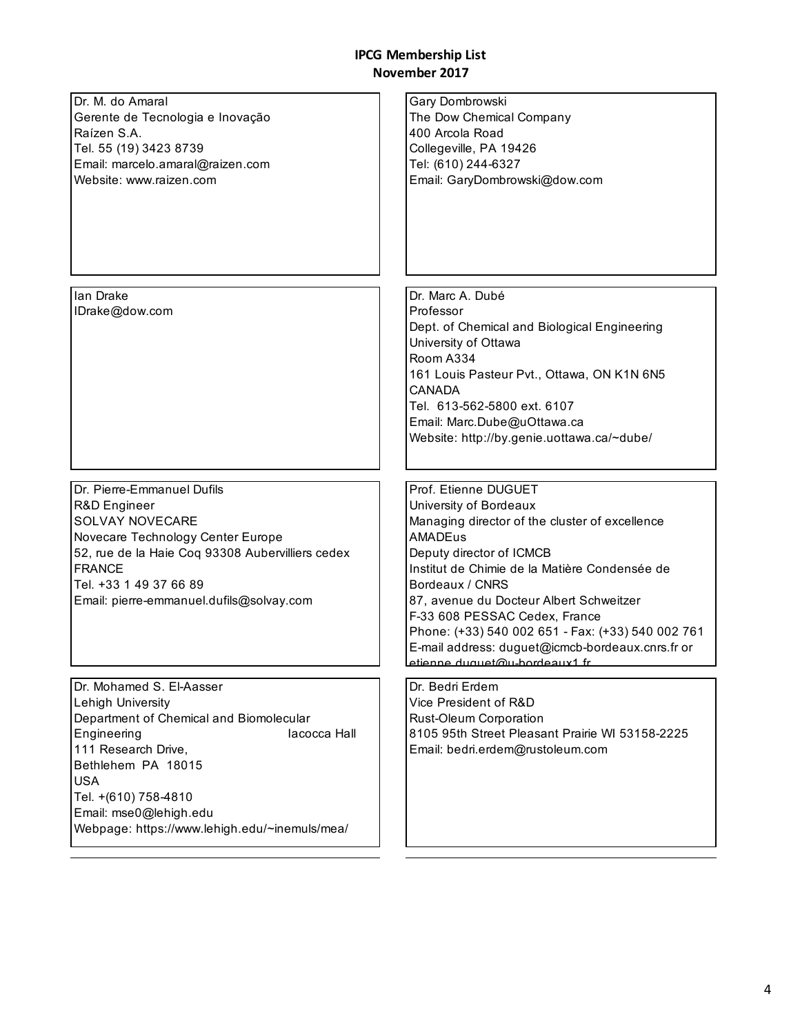| Dr. M. do Amaral<br>Gerente de Tecnologia e Inovação<br>Raízen S.A.<br>Tel. 55 (19) 3423 8739<br>Email: marcelo.amaral@raizen.com<br>Website: www.raizen.com                                                                                                                          | Gary Dombrowski<br>The Dow Chemical Company<br>400 Arcola Road<br>Collegeville, PA 19426<br>Tel: (610) 244-6327<br>Email: GaryDombrowski@dow.com                                                                                                                                                                                                                                                                                         |
|---------------------------------------------------------------------------------------------------------------------------------------------------------------------------------------------------------------------------------------------------------------------------------------|------------------------------------------------------------------------------------------------------------------------------------------------------------------------------------------------------------------------------------------------------------------------------------------------------------------------------------------------------------------------------------------------------------------------------------------|
| lan Drake<br>IDrake@dow.com                                                                                                                                                                                                                                                           | Dr. Marc A. Dubé<br>Professor<br>Dept. of Chemical and Biological Engineering<br>University of Ottawa<br>Room A334<br>161 Louis Pasteur Pvt., Ottawa, ON K1N 6N5<br><b>CANADA</b><br>Tel. 613-562-5800 ext. 6107<br>Email: Marc.Dube@uOttawa.ca<br>Website: http://by.genie.uottawa.ca/~dube/                                                                                                                                            |
| Dr. Pierre-Emmanuel Dufils<br>R&D Engineer<br><b>SOLVAY NOVECARE</b><br>Novecare Technology Center Europe<br>52, rue de la Haie Coq 93308 Aubervilliers cedex<br><b>FRANCE</b><br>Tel. +33 1 49 37 66 89<br>Email: pierre-emmanuel.dufils@solvay.com                                  | Prof. Etienne DUGUET<br>University of Bordeaux<br>Managing director of the cluster of excellence<br><b>AMADEus</b><br>Deputy director of ICMCB<br>Institut de Chimie de la Matière Condensée de<br>Bordeaux / CNRS<br>87, avenue du Docteur Albert Schweitzer<br>F-33 608 PESSAC Cedex, France<br>Phone: (+33) 540 002 651 - Fax: (+33) 540 002 761<br>E-mail address: duguet@icmcb-bordeaux.cnrs.fr or<br>etienne duquet@u-hordeaux1 fr |
| Dr. Mohamed S. El-Aasser<br>Lehigh University<br>Department of Chemical and Biomolecular<br>Engineering<br>lacocca Hall<br>111 Research Drive,<br>Bethlehem PA 18015<br><b>USA</b><br>Tel. +(610) 758-4810<br>Email: mse0@lehigh.edu<br>Webpage: https://www.lehigh.edu/~inemuls/mea/ | Dr. Bedri Erdem<br>Vice President of R&D<br>Rust-Oleum Corporation<br>8105 95th Street Pleasant Prairie WI 53158-2225<br>Email: bedri.erdem@rustoleum.com                                                                                                                                                                                                                                                                                |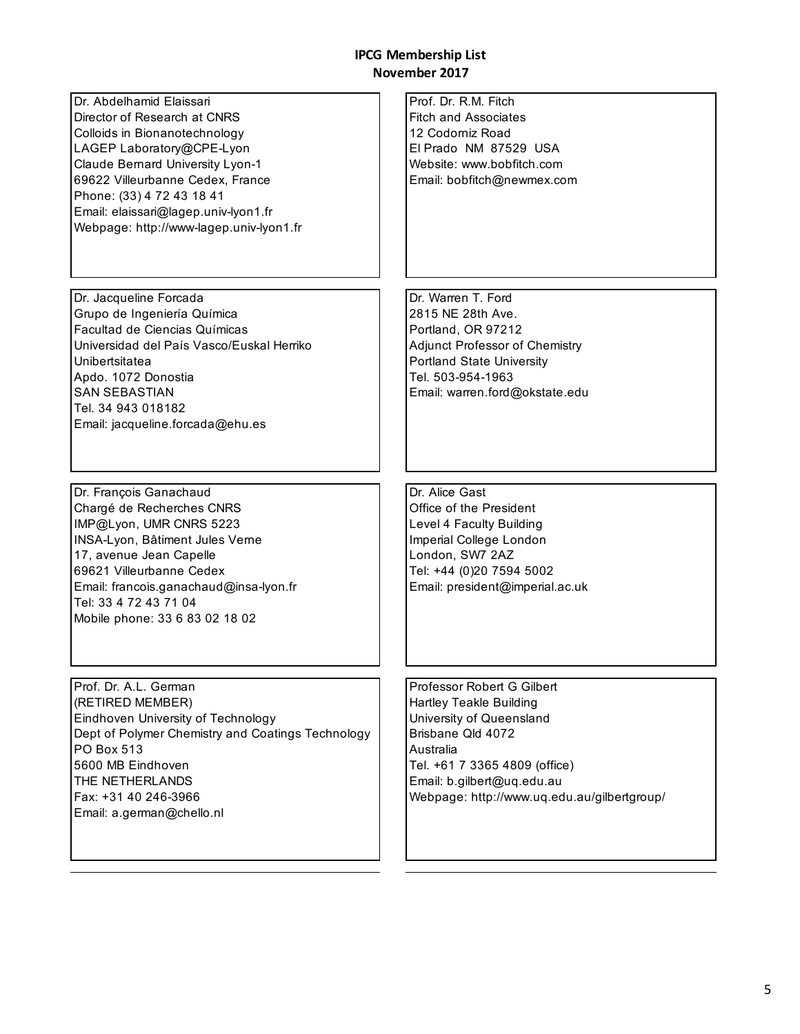| Dr. Abdelhamid Elaissari<br>Director of Research at CNRS<br>Colloids in Bionanotechnology<br>LAGEP Laboratory@CPE-Lyon<br>Claude Bernard University Lyon-1<br>69622 Villeurbanne Cedex, France<br>Phone: (33) 4 72 43 18 41<br>Email: elaissari@lagep.univ-lyon1.fr<br>Webpage: http://www-lagep.univ-lyon1.fr | Prof. Dr. R.M. Fitch<br><b>Fitch and Associates</b><br>12 Codorniz Road<br>El Prado NM 87529 USA<br>Website: www.bobfitch.com<br>Email: bobfitch@newmex.com                                                                              |
|----------------------------------------------------------------------------------------------------------------------------------------------------------------------------------------------------------------------------------------------------------------------------------------------------------------|------------------------------------------------------------------------------------------------------------------------------------------------------------------------------------------------------------------------------------------|
| Dr. Jacqueline Forcada<br>Grupo de Ingeniería Química<br>Facultad de Ciencias Químicas<br>Universidad del País Vasco/Euskal Herriko<br>Unibertsitatea<br>Apdo. 1072 Donostia<br><b>SAN SEBASTIAN</b><br>Tel. 34 943 018182<br>Email: jacqueline.forcada@ehu.es                                                 | Dr. Warren T. Ford<br>2815 NE 28th Ave.<br>Portland, OR 97212<br>Adjunct Professor of Chemistry<br><b>Portland State University</b><br>Tel. 503-954-1963<br>Email: warren.ford@okstate.edu                                               |
| Dr. François Ganachaud<br>Chargé de Recherches CNRS<br>IMP@Lyon, UMR CNRS 5223<br>INSA-Lyon, Bâtiment Jules Verne<br>17, avenue Jean Capelle<br>69621 Villeurbanne Cedex<br>Email: francois.ganachaud@insa-lyon.fr<br>Tel: 33 4 72 43 71 04<br>Mobile phone: 33 6 83 02 18 02                                  | Dr. Alice Gast<br>Office of the President<br>Level 4 Faculty Building<br>Imperial College London<br>London, SW7 2AZ<br>Tel: +44 (0)20 7594 5002<br>Email: president@imperial.ac.uk                                                       |
| Prof. Dr. A.L. German<br>(RETIRED MEMBER)<br>Eindhoven University of Technology<br>Dept of Polymer Chemistry and Coatings Technology<br>PO Box 513<br>5600 MB Eindhoven<br>THE NETHERLANDS<br>Fax: +31 40 246-3966<br>Email: a.german@chello.nl                                                                | Professor Robert G Gilbert<br><b>Hartley Teakle Building</b><br>University of Queensland<br>Brisbane Qld 4072<br>Australia<br>Tel. +61 7 3365 4809 (office)<br>Email: b.gilbert@uq.edu.au<br>Webpage: http://www.uq.edu.au/gilbertgroup/ |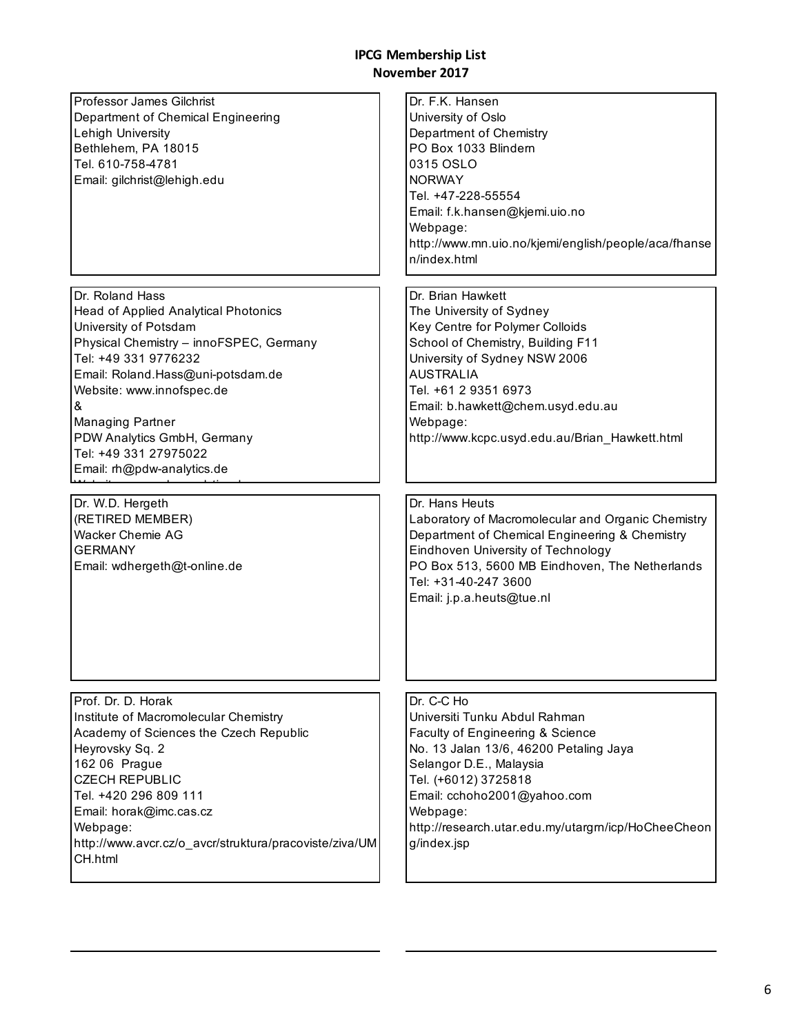| Professor James Gilchrist<br>Department of Chemical Engineering<br>Lehigh University<br>Bethlehem, PA 18015<br>Tel. 610-758-4781<br>Email: gilchrist@lehigh.edu                                                                                                                                                                                    | Dr. F.K. Hansen<br>University of Oslo<br>Department of Chemistry<br>PO Box 1033 Blindern<br>0315 OSLO<br><b>NORWAY</b><br>Tel. +47-228-55554<br>Email: f.k.hansen@kjemi.uio.no<br>Webpage:<br>http://www.mn.uio.no/kjemi/english/people/aca/fhanse<br>n/index.html                                    |
|----------------------------------------------------------------------------------------------------------------------------------------------------------------------------------------------------------------------------------------------------------------------------------------------------------------------------------------------------|-------------------------------------------------------------------------------------------------------------------------------------------------------------------------------------------------------------------------------------------------------------------------------------------------------|
| Dr. Roland Hass<br><b>Head of Applied Analytical Photonics</b><br>University of Potsdam<br>Physical Chemistry - innoFSPEC, Germany<br>Tel: +49 331 9776232<br>Email: Roland.Hass@uni-potsdam.de<br>Website: www.innofspec.de<br>&<br><b>Managing Partner</b><br>PDW Analytics GmbH, Germany<br>Tel: +49 331 27975022<br>Email: rh@pdw-analytics.de | Dr. Brian Hawkett<br>The University of Sydney<br>Key Centre for Polymer Colloids<br>School of Chemistry, Building F11<br>University of Sydney NSW 2006<br><b>AUSTRALIA</b><br>Tel. +61 2 9351 6973<br>Email: b.hawkett@chem.usyd.edu.au<br>Webpage:<br>http://www.kcpc.usyd.edu.au/Brian_Hawkett.html |
| Dr. W.D. Hergeth<br>(RETIRED MEMBER)<br><b>Wacker Chemie AG</b><br><b>GERMANY</b><br>Email: wdhergeth@t-online.de                                                                                                                                                                                                                                  | Dr. Hans Heuts<br>Laboratory of Macromolecular and Organic Chemistry<br>Department of Chemical Engineering & Chemistry<br>Eindhoven University of Technology<br>PO Box 513, 5600 MB Eindhoven, The Netherlands<br>Tel: +31-40-247 3600<br>Email: j.p.a.heuts@tue.nl                                   |
| Prof. Dr. D. Horak<br>Institute of Macromolecular Chemistry<br>Academy of Sciences the Czech Republic<br>Heyrovsky Sq. 2<br>162 06 Prague<br><b>CZECH REPUBLIC</b><br>Tel. +420 296 809 111<br>Email: horak@imc.cas.cz<br>Webpage:<br>http://www.avcr.cz/o_avcr/struktura/pracoviste/ziva/UM<br>CH.html                                            | Dr. C-C Ho<br>Universiti Tunku Abdul Rahman<br>Faculty of Engineering & Science<br>No. 13 Jalan 13/6, 46200 Petaling Jaya<br>Selangor D.E., Malaysia<br>Tel. (+6012) 3725818<br>Email: cchoho2001@yahoo.com<br>Webpage:<br>http://research.utar.edu.my/utargm/icp/HoCheeCheon<br>g/index.jsp          |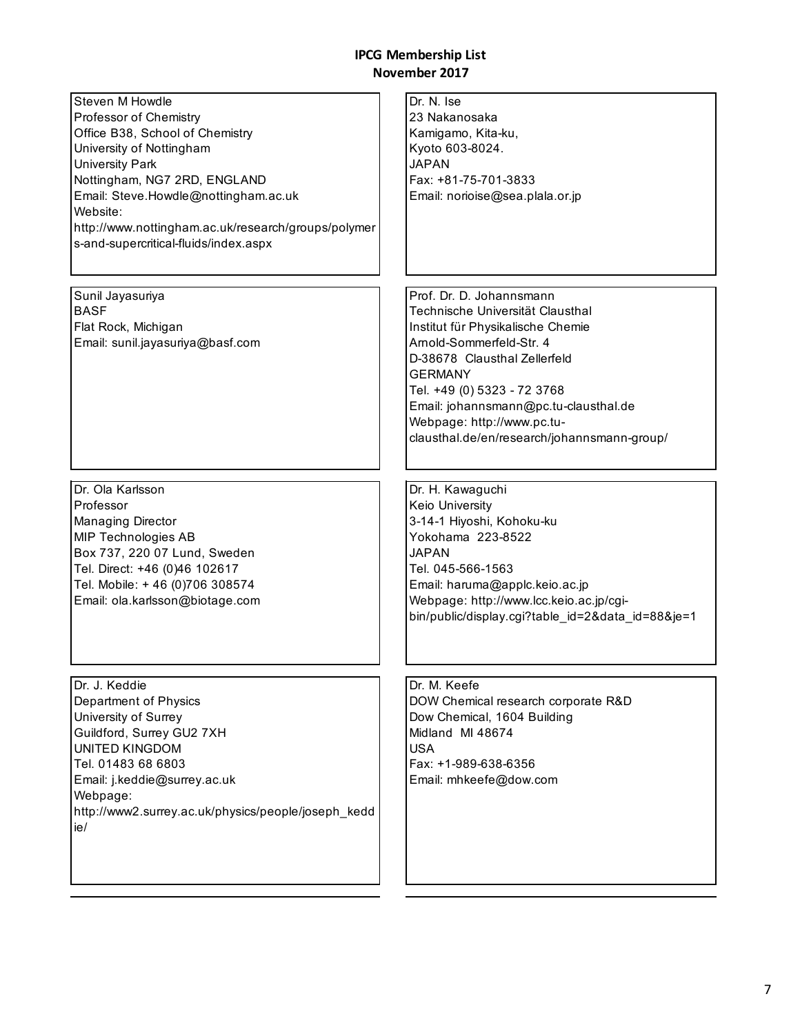| Steven M Howdle<br>Professor of Chemistry<br>Office B38, School of Chemistry<br>University of Nottingham<br><b>University Park</b><br>Nottingham, NG7 2RD, ENGLAND<br>Email: Steve.Howdle@nottingham.ac.uk<br>Website:<br>http://www.nottingham.ac.uk/research/groups/polymer<br>s-and-supercritical-fluids/index.aspx | Dr. N. Ise<br>23 Nakanosaka<br>Kamigamo, Kita-ku,<br>Kyoto 603-8024.<br><b>JAPAN</b><br>Fax: +81-75-701-3833<br>Email: norioise@sea.plala.or.jp                                                                                                                                                                                      |
|------------------------------------------------------------------------------------------------------------------------------------------------------------------------------------------------------------------------------------------------------------------------------------------------------------------------|--------------------------------------------------------------------------------------------------------------------------------------------------------------------------------------------------------------------------------------------------------------------------------------------------------------------------------------|
| Sunil Jayasuriya<br><b>BASF</b><br>Flat Rock, Michigan<br>Email: sunil.jayasuriya@basf.com                                                                                                                                                                                                                             | Prof. Dr. D. Johannsmann<br>Technische Universität Clausthal<br>Institut für Physikalische Chemie<br>Arnold-Sommerfeld-Str. 4<br>D-38678 Clausthal Zellerfeld<br><b>GERMANY</b><br>Tel. +49 (0) 5323 - 72 3768<br>Email: johannsmann@pc.tu-clausthal.de<br>Webpage: http://www.pc.tu-<br>clausthal.de/en/research/johannsmann-group/ |
| Dr. Ola Karlsson<br>Professor<br>Managing Director<br><b>MIP Technologies AB</b><br>Box 737, 220 07 Lund, Sweden<br>Tel. Direct: +46 (0)46 102617<br>Tel. Mobile: +46 (0)706 308574<br>Email: ola.karlsson@biotage.com                                                                                                 | Dr. H. Kawaguchi<br>Keio University<br>3-14-1 Hiyoshi, Kohoku-ku<br>Yokohama 223-8522<br><b>JAPAN</b><br>Tel. 045-566-1563<br>Email: haruma@applc.keio.ac.jp<br>Webpage: http://www.lcc.keio.ac.jp/cgi-<br>bin/public/display.cgi?table id=2&data id=88&je=1                                                                         |
| Dr. J. Keddie<br>Department of Physics<br>University of Surrey<br>Guildford, Surrey GU2 7XH<br><b>UNITED KINGDOM</b><br>Tel. 01483 68 6803<br>Email: j.keddie@surrey.ac.uk<br>Webpage:<br>http://www2.surrey.ac.uk/physics/people/joseph_kedd<br>ie/                                                                   | Dr. M. Keefe<br>DOW Chemical research corporate R&D<br>Dow Chemical, 1604 Building<br>Midland MI 48674<br><b>USA</b><br>Fax: +1-989-638-6356<br>Email: mhkeefe@dow.com                                                                                                                                                               |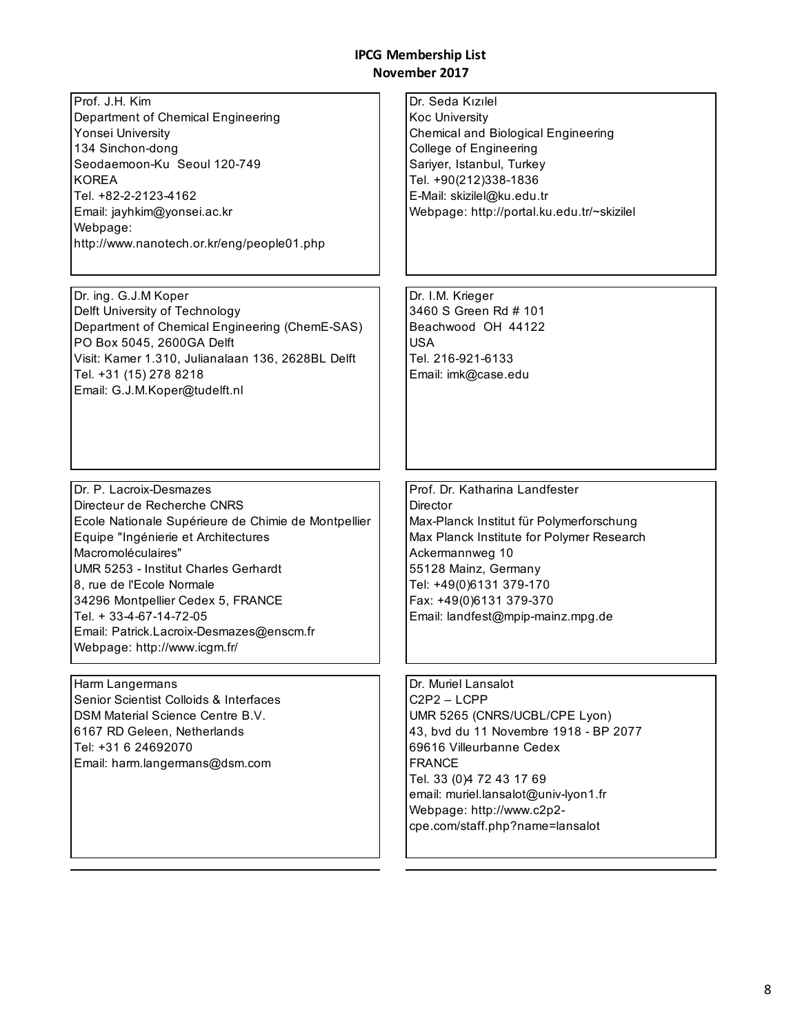Prof. J.H. Kim Department of Chemical Engineering Yonsei University 134 Sinchon-dong Seodaemoon-Ku Seoul 120-749 KOREA Tel. +82-2-2123-4162 Email: jayhkim@yonsei.ac.kr Webpage: http://www.nanotech.or.kr/eng/people01.php Dr. Seda Kızılel Koc University Chemical and Biological Engineering College of Engineering Sariyer, Istanbul, Turkey Tel. +90(212)338-1836 E-Mail: skizilel@ku.edu.tr Webpage: http://portal.ku.edu.tr/~skizilel Dr. ing. G.J.M Koper Delft University of Technology Department of Chemical Engineering (ChemE-SAS) PO Box 5045, 2600GA Delft Visit: Kamer 1.310, Julianalaan 136, 2628BL Delft Tel. +31 (15) 278 8218 Email: G.J.M.Koper@tudelft.nl Dr. I.M. Krieger 3460 S Green Rd # 101 Beachwood OH 44122 USA Tel. 216-921-6133 Email: imk@case.edu Dr. P. Lacroix-Desmazes Directeur de Recherche CNRS Ecole Nationale Supérieure de Chimie de Montpellier Equipe "Ingénierie et Architectures Macromoléculaires" UMR 5253 - Institut Charles Gerhardt 8, rue de l'Ecole Normale 34296 Montpellier Cedex 5, FRANCE Tel. + 33-4-67-14-72-05 Email: Patrick.Lacroix-Desmazes@enscm.fr Webpage: http://www.icgm.fr/ Prof. Dr. Katharina Landfester **Director** Max-Planck Institut für Polymerforschung Max Planck Institute for Polymer Research Ackermannweg 10 55128 Mainz, Germany Tel: +49(0)6131 379-170 Fax: +49(0)6131 379-370 Email: landfest@mpip-mainz.mpg.de Harm Langermans Senior Scientist Colloids & Interfaces DSM Material Science Centre B.V. 6167 RD Geleen, Netherlands Tel: +31 6 24692070 Email: harm.langermans@dsm.com Dr. Muriel Lansalot C2P2 – LCPP UMR 5265 (CNRS/UCBL/CPE Lyon) 43, bvd du 11 Novembre 1918 - BP 2077 69616 Villeurbanne Cedex FRANCE Tel. 33 (0)4 72 43 17 69 email: muriel.lansalot@univ-lyon1.fr Webpage: http://www.c2p2-

cpe.com/staff.php?name=lansalot

8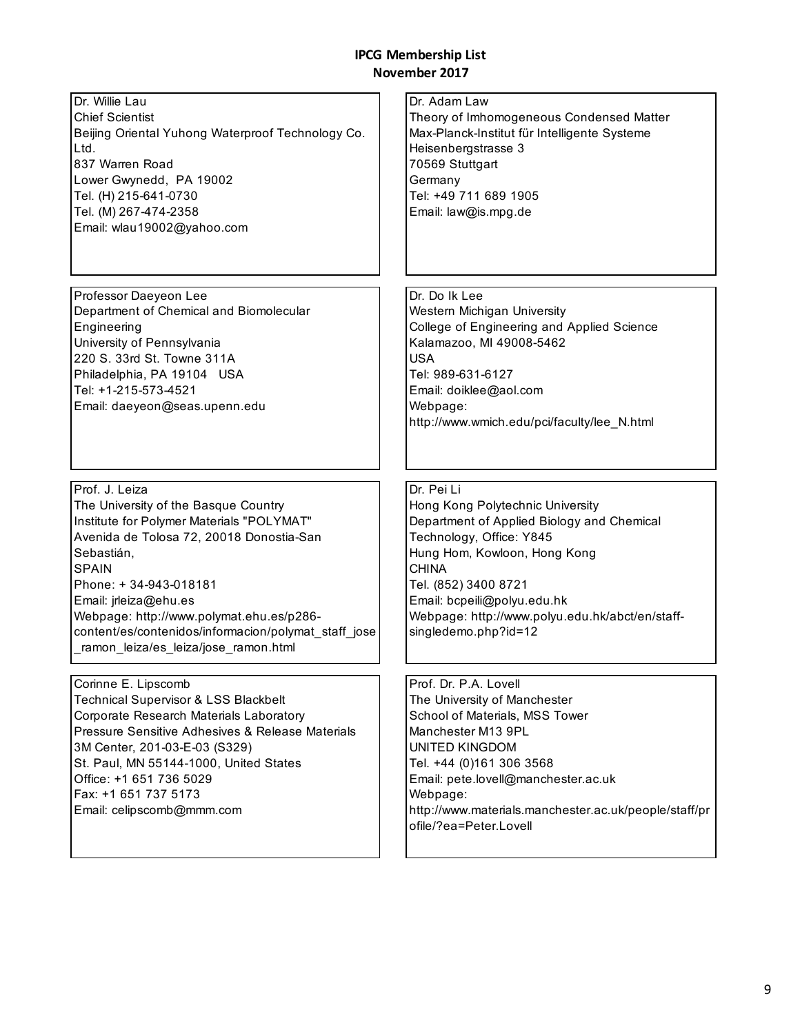| Dr. Willie Lau<br><b>Chief Scientist</b><br>Beijing Oriental Yuhong Waterproof Technology Co.<br>Ltd.<br>837 Warren Road<br>Lower Gwynedd, PA 19002<br>Tel. (H) 215-641-0730<br>Tel. (M) 267-474-2358<br>Email: wlau19002@yahoo.com                                                                                                                                         | Dr. Adam Law<br>Theory of Imhomogeneous Condensed Matter<br>Max-Planck-Institut für Intelligente Systeme<br>Heisenbergstrasse 3<br>70569 Stuttgart<br>Germany<br>Tel: +49 711 689 1905<br>Email: law@is.mpg.de                                                                                             |
|-----------------------------------------------------------------------------------------------------------------------------------------------------------------------------------------------------------------------------------------------------------------------------------------------------------------------------------------------------------------------------|------------------------------------------------------------------------------------------------------------------------------------------------------------------------------------------------------------------------------------------------------------------------------------------------------------|
| Professor Daeyeon Lee<br>Department of Chemical and Biomolecular<br>Engineering<br>University of Pennsylvania<br>220 S. 33rd St. Towne 311A<br>Philadelphia, PA 19104 USA<br>Tel: +1-215-573-4521<br>Email: daeyeon@seas.upenn.edu                                                                                                                                          | Dr. Do Ik Lee<br>Western Michigan University<br>College of Engineering and Applied Science<br>Kalamazoo, MI 49008-5462<br><b>USA</b><br>Tel: 989-631-6127<br>Email: doiklee@aol.com<br>Webpage:<br>http://www.wmich.edu/pci/faculty/lee_N.html                                                             |
| Prof. J. Leiza<br>The University of the Basque Country<br>Institute for Polymer Materials "POLYMAT"<br>Avenida de Tolosa 72, 20018 Donostia-San<br>Sebastián,<br><b>SPAIN</b><br>Phone: +34-943-018181<br>Email: jrleiza@ehu.es<br>Webpage: http://www.polymat.ehu.es/p286-<br>content/es/contenidos/informacion/polymat_staff_jose<br>ramon leiza/es leiza/jose ramon.html | Dr. Pei Li<br>Hong Kong Polytechnic University<br>Department of Applied Biology and Chemical<br>Technology, Office: Y845<br>Hung Hom, Kowloon, Hong Kong<br><b>CHINA</b><br>Tel. (852) 3400 8721<br>Email: bcpeili@polyu.edu.hk<br>Webpage: http://www.polyu.edu.hk/abct/en/staff-<br>singledemo.php?id=12 |
| Corinne E. Lipscomb<br><b>Technical Supervisor &amp; LSS Blackbelt</b><br>Corporate Research Materials Laboratory<br>Pressure Sensitive Adhesives & Release Materials<br>3M Center, 201-03-E-03 (S329)<br>St. Paul, MN 55144-1000, United States<br>Office: +1 651 736 5029<br>Fax: +1 651 737 5173<br>Email: celipscomb@mmm.com                                            | Prof. Dr. P.A. Lovell<br>The University of Manchester<br>School of Materials, MSS Tower<br>Manchester M13 9PL<br><b>UNITED KINGDOM</b><br>Tel. +44 (0)161 306 3568<br>Email: pete.lovell@manchester.ac.uk<br>Webpage:<br>http://www.materials.manchester.ac.uk/people/staff/pr<br>ofile/?ea=Peter.Lovell   |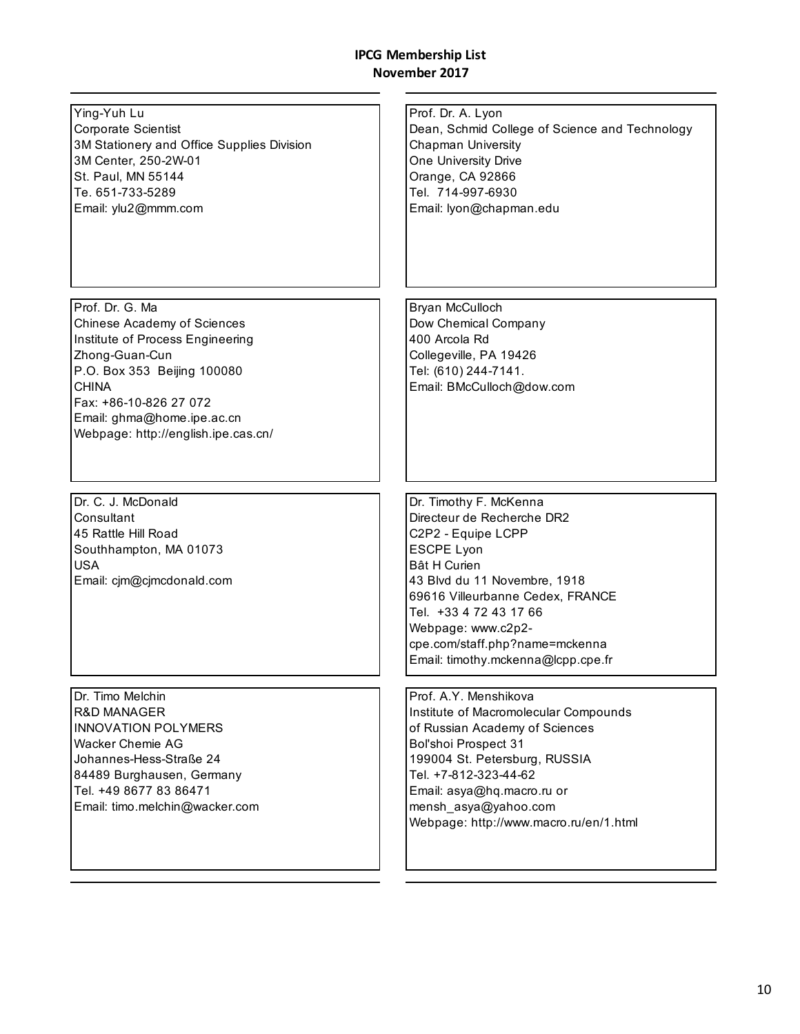÷,

| Ying-Yuh Lu<br>Corporate Scientist<br>3M Stationery and Office Supplies Division<br>3M Center, 250-2W-01<br>St. Paul, MN 55144<br>Te. 651-733-5289<br>Email: ylu2@mmm.com                                                                          | Prof. Dr. A. Lyon<br>Dean, Schmid College of Science and Technology<br><b>Chapman University</b><br>One University Drive<br>Orange, CA 92866<br>Tel. 714-997-6930<br>Email: lyon@chapman.edu                                                                                                                       |
|----------------------------------------------------------------------------------------------------------------------------------------------------------------------------------------------------------------------------------------------------|--------------------------------------------------------------------------------------------------------------------------------------------------------------------------------------------------------------------------------------------------------------------------------------------------------------------|
| Prof. Dr. G. Ma<br>Chinese Academy of Sciences<br>Institute of Process Engineering<br>Zhong-Guan-Cun<br>P.O. Box 353 Beijing 100080<br><b>CHINA</b><br>Fax: +86-10-826 27 072<br>Email: ghma@home.ipe.ac.cn<br>Webpage: http://english.ipe.cas.cn/ | Bryan McCulloch<br>Dow Chemical Company<br>400 Arcola Rd<br>Collegeville, PA 19426<br>Tel: (610) 244-7141.<br>Email: BMcCulloch@dow.com                                                                                                                                                                            |
| Dr. C. J. McDonald<br>Consultant<br>45 Rattle Hill Road<br>Southhampton, MA 01073<br><b>USA</b><br>Email: cjm@cjmcdonald.com                                                                                                                       | Dr. Timothy F. McKenna<br>Directeur de Recherche DR2<br>C2P2 - Equipe LCPP<br><b>ESCPE Lyon</b><br><b>Bât H Curien</b><br>43 Blvd du 11 Novembre, 1918<br>69616 Villeurbanne Cedex, FRANCE<br>Tel. +33 4 72 43 17 66<br>Webpage: www.c2p2-<br>cpe.com/staff.php?name=mckenna<br>Email: timothy.mckenna@lcpp.cpe.fr |
| Dr. Timo Melchin<br><b>R&amp;D MANAGER</b><br><b>INNOVATION POLYMERS</b><br><b>Wacker Chemie AG</b><br>Johannes-Hess-Straße 24<br>84489 Burghausen, Germany<br>Tel. +49 8677 83 86471<br>Email: timo.melchin@wacker.com                            | Prof. A.Y. Menshikova<br>Institute of Macromolecular Compounds<br>of Russian Academy of Sciences<br><b>Bol'shoi Prospect 31</b><br>199004 St. Petersburg, RUSSIA<br>Tel. +7-812-323-44-62<br>Email: asya@hq.macro.ru or<br>mensh asya@yahoo.com<br>Webpage: http://www.macro.ru/en/1.html                          |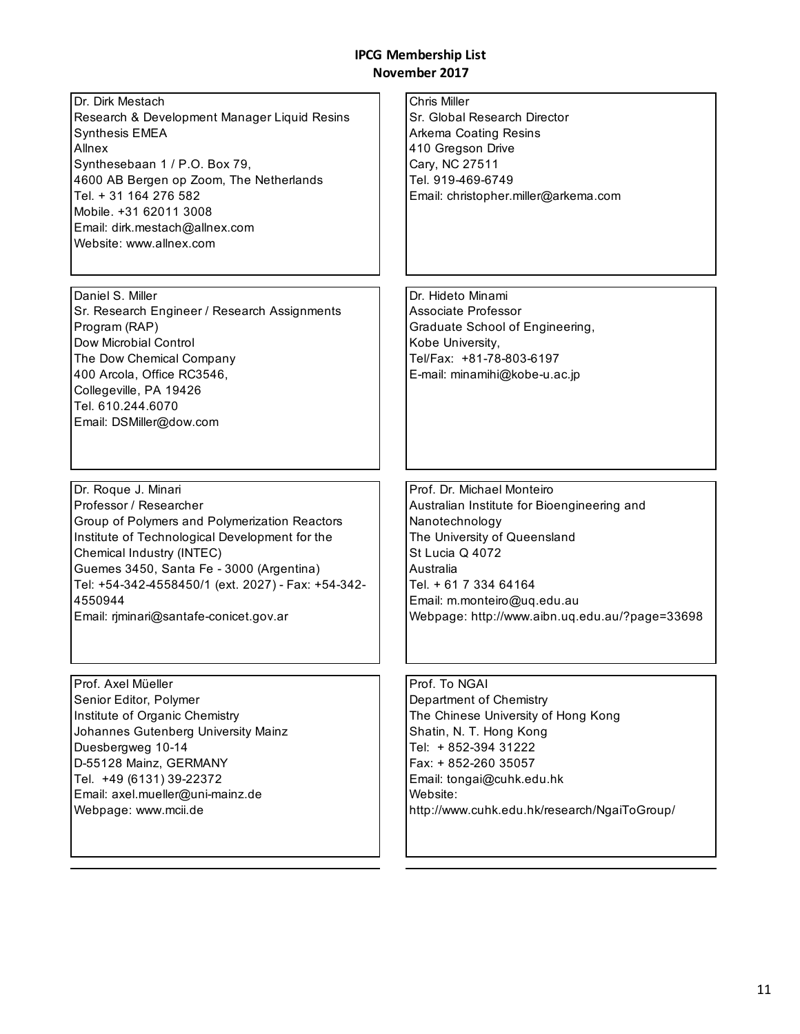| Dr. Dirk Mestach<br>Research & Development Manager Liquid Resins<br><b>Synthesis EMEA</b><br>Allnex<br>Synthesebaan 1 / P.O. Box 79,<br>4600 AB Bergen op Zoom, The Netherlands<br>Tel. + 31 164 276 582<br>Mobile. +31 62011 3008<br>Email: dirk.mestach@allnex.com<br>Website: www.allnex.com | <b>Chris Miller</b><br>Sr. Global Research Director<br>Arkema Coating Resins<br>410 Gregson Drive<br>Cary, NC 27511<br>Tel. 919-469-6749<br>Email: christopher.miller@arkema.com |
|-------------------------------------------------------------------------------------------------------------------------------------------------------------------------------------------------------------------------------------------------------------------------------------------------|----------------------------------------------------------------------------------------------------------------------------------------------------------------------------------|
| Daniel S. Miller<br>Sr. Research Engineer / Research Assignments<br>Program (RAP)<br>Dow Microbial Control<br>The Dow Chemical Company<br>400 Arcola, Office RC3546,<br>Collegeville, PA 19426<br>Tel. 610.244.6070<br>Email: DSMiller@dow.com                                                  | Dr. Hideto Minami<br>Associate Professor<br>Graduate School of Engineering,<br>Kobe University,<br>Tel/Fax: +81-78-803-6197<br>E-mail: minamihi@kobe-u.ac.jp                     |
| Dr. Roque J. Minari                                                                                                                                                                                                                                                                             | Prof. Dr. Michael Monteiro                                                                                                                                                       |
| Professor / Researcher                                                                                                                                                                                                                                                                          | Australian Institute for Bioengineering and                                                                                                                                      |
| Group of Polymers and Polymerization Reactors                                                                                                                                                                                                                                                   | Nanotechnology                                                                                                                                                                   |
| Institute of Technological Development for the                                                                                                                                                                                                                                                  | The University of Queensland                                                                                                                                                     |
| Chemical Industry (INTEC)                                                                                                                                                                                                                                                                       | St Lucia Q 4072                                                                                                                                                                  |
| Guemes 3450, Santa Fe - 3000 (Argentina)                                                                                                                                                                                                                                                        | Australia                                                                                                                                                                        |
| Tel: +54-342-4558450/1 (ext. 2027) - Fax: +54-342-                                                                                                                                                                                                                                              | Tel. + 61 7 334 64164                                                                                                                                                            |
| 4550944                                                                                                                                                                                                                                                                                         | Email: m.monteiro@uq.edu.au                                                                                                                                                      |
| Email: rjminari@santafe-conicet.gov.ar                                                                                                                                                                                                                                                          | Webpage: http://www.aibn.uq.edu.au/?page=33698                                                                                                                                   |
| Prof. Axel Müeller                                                                                                                                                                                                                                                                              | Prof. To NGAI                                                                                                                                                                    |
| Senior Editor, Polymer                                                                                                                                                                                                                                                                          | Department of Chemistry                                                                                                                                                          |
| Institute of Organic Chemistry                                                                                                                                                                                                                                                                  | The Chinese University of Hong Kong                                                                                                                                              |
| Johannes Gutenberg University Mainz                                                                                                                                                                                                                                                             | Shatin, N. T. Hong Kong                                                                                                                                                          |
| Duesbergweg 10-14                                                                                                                                                                                                                                                                               | Tel: + 852-394 31222                                                                                                                                                             |
| D-55128 Mainz, GERMANY                                                                                                                                                                                                                                                                          | Fax: + 852-260 35057                                                                                                                                                             |
| Tel. +49 (6131) 39-22372                                                                                                                                                                                                                                                                        | Email: tongai@cuhk.edu.hk                                                                                                                                                        |
| Email: axel.mueller@uni-mainz.de                                                                                                                                                                                                                                                                | Website:                                                                                                                                                                         |
| Webpage: www.mcii.de                                                                                                                                                                                                                                                                            | http://www.cuhk.edu.hk/research/NgaiToGroup/                                                                                                                                     |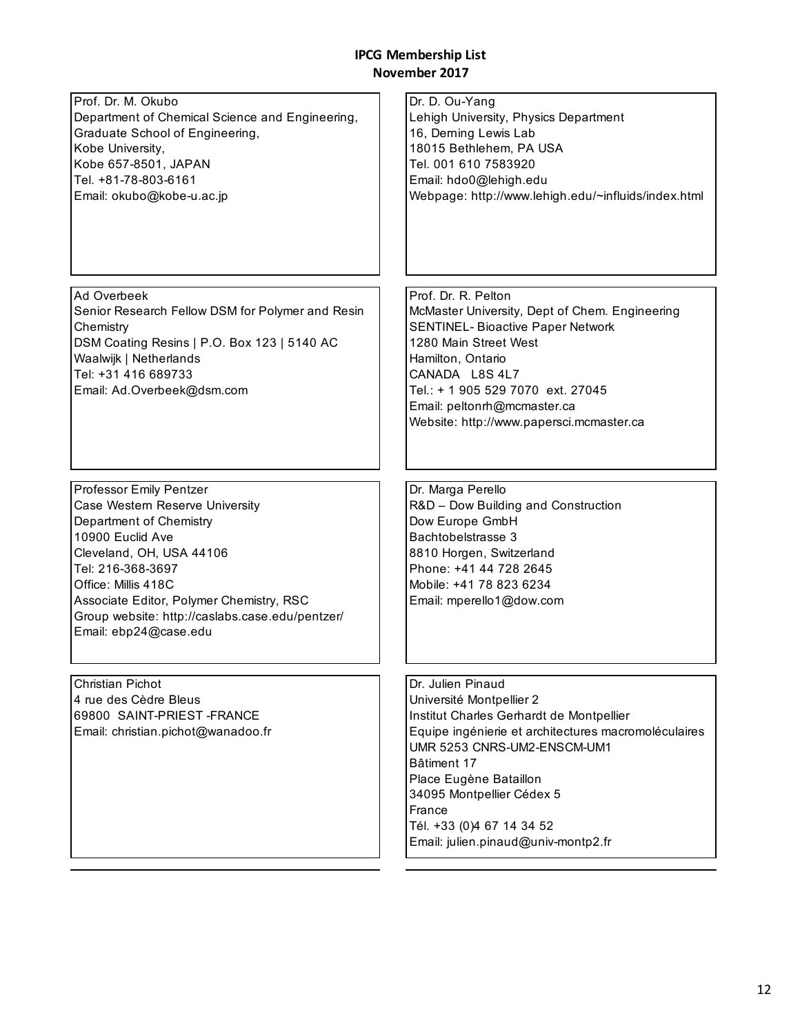| Prof. Dr. M. Okubo<br>Department of Chemical Science and Engineering,<br>Graduate School of Engineering,<br>Kobe University,<br>Kobe 657-8501, JAPAN<br>Tel. +81-78-803-6161<br>Email: okubo@kobe-u.ac.jp                                                                                                 | Dr. D. Ou-Yang<br>Lehigh University, Physics Department<br>16, Derning Lewis Lab<br>18015 Bethlehem, PA USA<br>Tel. 001 610 7583920<br>Email: hdo0@lehigh.edu<br>Webpage: http://www.lehigh.edu/~influids/index.html                                                                                                                 |
|-----------------------------------------------------------------------------------------------------------------------------------------------------------------------------------------------------------------------------------------------------------------------------------------------------------|--------------------------------------------------------------------------------------------------------------------------------------------------------------------------------------------------------------------------------------------------------------------------------------------------------------------------------------|
| Ad Overbeek<br>Senior Research Fellow DSM for Polymer and Resin<br>Chemistry<br>DSM Coating Resins   P.O. Box 123   5140 AC<br>Waalwijk   Netherlands<br>Tel: +31 416 689733<br>Email: Ad.Overbeek@dsm.com                                                                                                | Prof. Dr. R. Pelton<br>McMaster University, Dept of Chem. Engineering<br><b>SENTINEL- Bioactive Paper Network</b><br>1280 Main Street West<br>Hamilton, Ontario<br>CANADA L8S 4L7<br>Tel.: + 1 905 529 7070 ext. 27045<br>Email: peltonrh@mcmaster.ca<br>Website: http://www.papersci.mcmaster.ca                                    |
| Professor Emily Pentzer<br>Case Western Reserve University<br>Department of Chemistry<br>10900 Euclid Ave<br>Cleveland, OH, USA 44106<br>Tel: 216-368-3697<br>Office: Millis 418C<br>Associate Editor, Polymer Chemistry, RSC<br>Group website: http://caslabs.case.edu/pentzer/<br>Email: ebp24@case.edu | Dr. Marga Perello<br>R&D - Dow Building and Construction<br>Dow Europe GmbH<br>Bachtobelstrasse 3<br>8810 Horgen, Switzerland<br>Phone: +41 44 728 2645<br>Mobile: +41 78 823 6234<br>Email: mperello1@dow.com                                                                                                                       |
| Christian Pichot<br>4 rue des Cèdre Bleus<br>69800 SAINT-PRIEST-FRANCE<br>Email: christian.pichot@wanadoo.fr                                                                                                                                                                                              | Dr. Julien Pinaud<br>Université Montpellier 2<br>Institut Charles Gerhardt de Montpellier<br>Equipe ingénierie et architectures macromoléculaires<br>UMR 5253 CNRS-UM2-ENSCM-UM1<br>Bâtiment 17<br>Place Eugène Bataillon<br>34095 Montpellier Cédex 5<br>France<br>Tél. +33 (0)4 67 14 34 52<br>Email: julien.pinaud@univ-montp2.fr |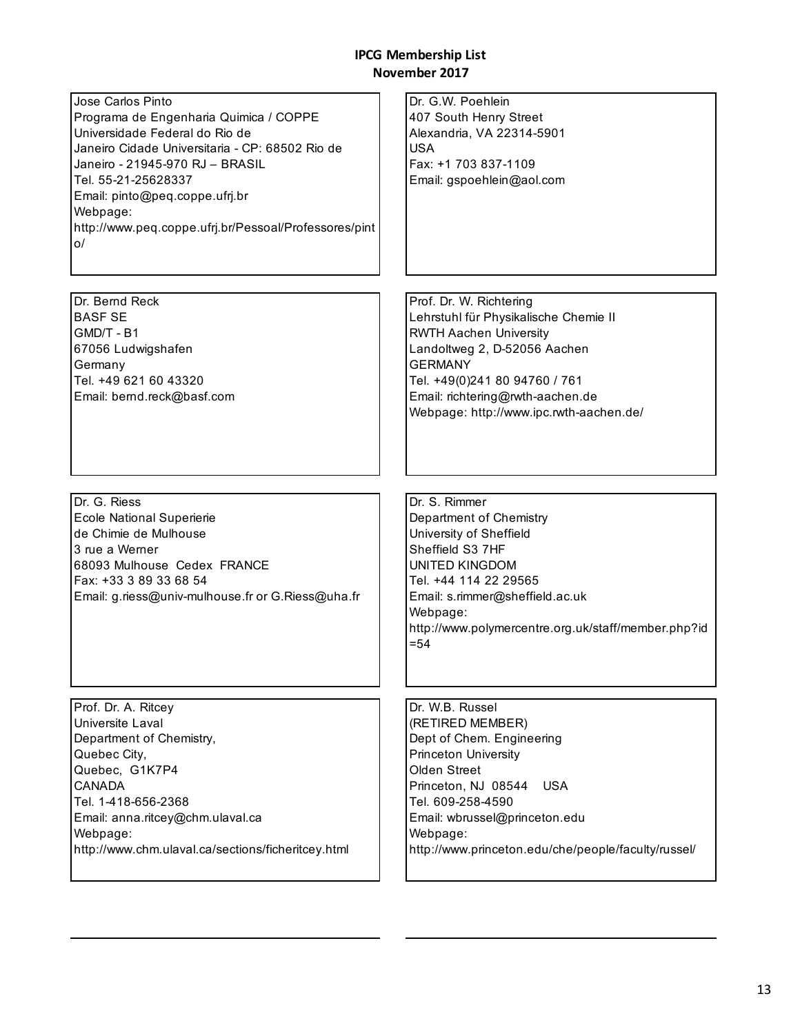| Jose Carlos Pinto<br>Programa de Engenharia Quimica / COPPE<br>Universidade Federal do Rio de<br>Janeiro Cidade Universitaria - CP: 68502 Rio de<br>Janeiro - 21945-970 RJ - BRASIL<br>Tel. 55-21-25628337<br>Email: pinto@peq.coppe.ufrj.br<br>Webpage:<br>http://www.peq.coppe.ufrj.br/Pessoal/Professores/pint<br>o/ | Dr. G.W. Poehlein<br>407 South Henry Street<br>Alexandria, VA 22314-5901<br>USA<br>Fax: +1 703 837-1109<br>Email: gspoehlein@aol.com                                                                                                                                          |
|-------------------------------------------------------------------------------------------------------------------------------------------------------------------------------------------------------------------------------------------------------------------------------------------------------------------------|-------------------------------------------------------------------------------------------------------------------------------------------------------------------------------------------------------------------------------------------------------------------------------|
| Dr. Bernd Reck<br><b>BASF SE</b><br>GMD/T - B1<br>67056 Ludwigshafen<br>Germany<br>Tel. +49 621 60 43320<br>Email: bernd.reck@basf.com                                                                                                                                                                                  | Prof. Dr. W. Richtering<br>Lehrstuhl für Physikalische Chemie II<br><b>RWTH Aachen University</b><br>Landoltweg 2, D-52056 Aachen<br><b>GERMANY</b><br>Tel. +49(0)241 80 94760 / 761<br>Email: richtering@rwth-aachen.de<br>Webpage: http://www.ipc.rwth-aachen.de/           |
| Dr. G. Riess<br><b>Ecole National Superierie</b><br>de Chimie de Mulhouse<br>3 rue a Werner<br>68093 Mulhouse Cedex FRANCE<br>Fax: +33 3 89 33 68 54<br>Email: g.riess@univ-mulhouse.fr or G.Riess@uha.fr                                                                                                               | Dr. S. Rimmer<br>Department of Chemistry<br>University of Sheffield<br>Sheffield S3 7HF<br><b>UNITED KINGDOM</b><br>Tel. +44 114 22 29565<br>Email: s.rimmer@sheffield.ac.uk<br>Webpage:<br>http://www.polymercentre.org.uk/staff/member.php?id<br>$= 54$                     |
| Prof. Dr. A. Ritcey<br>Universite Laval<br>Department of Chemistry,<br>Quebec City,<br>Quebec, G1K7P4<br><b>CANADA</b><br>Tel. 1-418-656-2368<br>Email: anna.ritcey@chm.ulaval.ca<br>Webpage:<br>http://www.chm.ulaval.ca/sections/ficheritcey.html                                                                     | Dr. W.B. Russel<br>(RETIRED MEMBER)<br>Dept of Chem. Engineering<br><b>Princeton University</b><br>Olden Street<br>Princeton, NJ 08544<br><b>USA</b><br>Tel. 609-258-4590<br>Email: wbrussel@princeton.edu<br>Webpage:<br>http://www.princeton.edu/che/people/faculty/russel/ |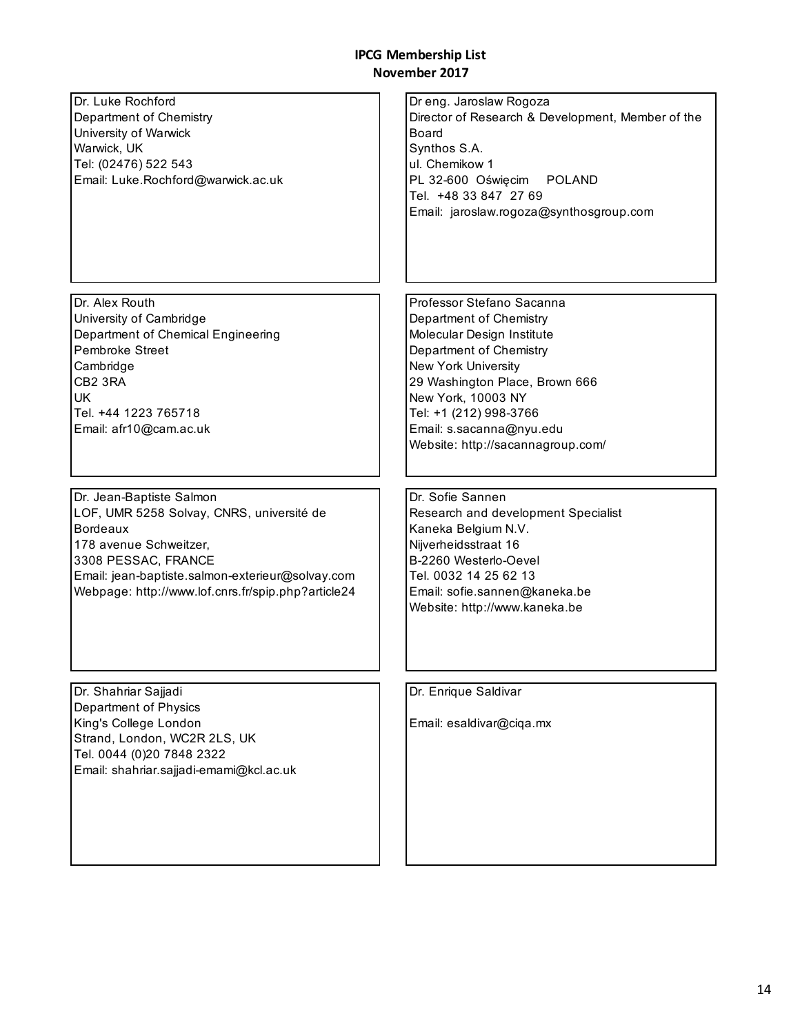| Dr. Luke Rochford<br>Department of Chemistry<br>University of Warwick<br>Warwick, UK<br>Tel: (02476) 522 543<br>Email: Luke.Rochford@warwick.ac.uk                                                                                                  | Dr eng. Jaroslaw Rogoza<br>Director of Research & Development, Member of the<br><b>Board</b><br>Synthos S.A.<br>ul. Chemikow 1<br>PL 32-600 Oświęcim<br><b>POLAND</b><br>Tel. +48 33 847 27 69<br>Email: jaroslaw.rogoza@synthosgroup.com                                               |
|-----------------------------------------------------------------------------------------------------------------------------------------------------------------------------------------------------------------------------------------------------|-----------------------------------------------------------------------------------------------------------------------------------------------------------------------------------------------------------------------------------------------------------------------------------------|
| Dr. Alex Routh<br>University of Cambridge<br>Department of Chemical Engineering<br><b>Pembroke Street</b><br>Cambridge<br>CB2 3RA<br>UK<br>Tel. +44 1223 765718<br>Email: afr10@cam.ac.uk                                                           | Professor Stefano Sacanna<br>Department of Chemistry<br>Molecular Design Institute<br>Department of Chemistry<br>New York University<br>29 Washington Place, Brown 666<br>New York, 10003 NY<br>Tel: +1 (212) 998-3766<br>Email: s.sacanna@nyu.edu<br>Website: http://sacannagroup.com/ |
| Dr. Jean-Baptiste Salmon<br>LOF, UMR 5258 Solvay, CNRS, université de<br><b>Bordeaux</b><br>178 avenue Schweitzer,<br>3308 PESSAC, FRANCE<br>Email: jean-baptiste.salmon-exterieur@solvay.com<br>Webpage: http://www.lof.cnrs.fr/spip.php?article24 | Dr. Sofie Sannen<br>Research and development Specialist<br>Kaneka Belgium N.V.<br>Nijverheidsstraat 16<br>B-2260 Westerlo-Oevel<br>Tel. 0032 14 25 62 13<br>Email: sofie.sannen@kaneka.be<br>Website: http://www.kaneka.be                                                              |
| Dr. Shahriar Sajjadi<br>Department of Physics<br>King's College London<br>Strand, London, WC2R 2LS, UK<br>Tel. 0044 (0)20 7848 2322<br>Email: shahriar.sajjadi-emami@kcl.ac.uk                                                                      | Dr. Enrique Saldivar<br>Email: esaldivar@ciqa.mx                                                                                                                                                                                                                                        |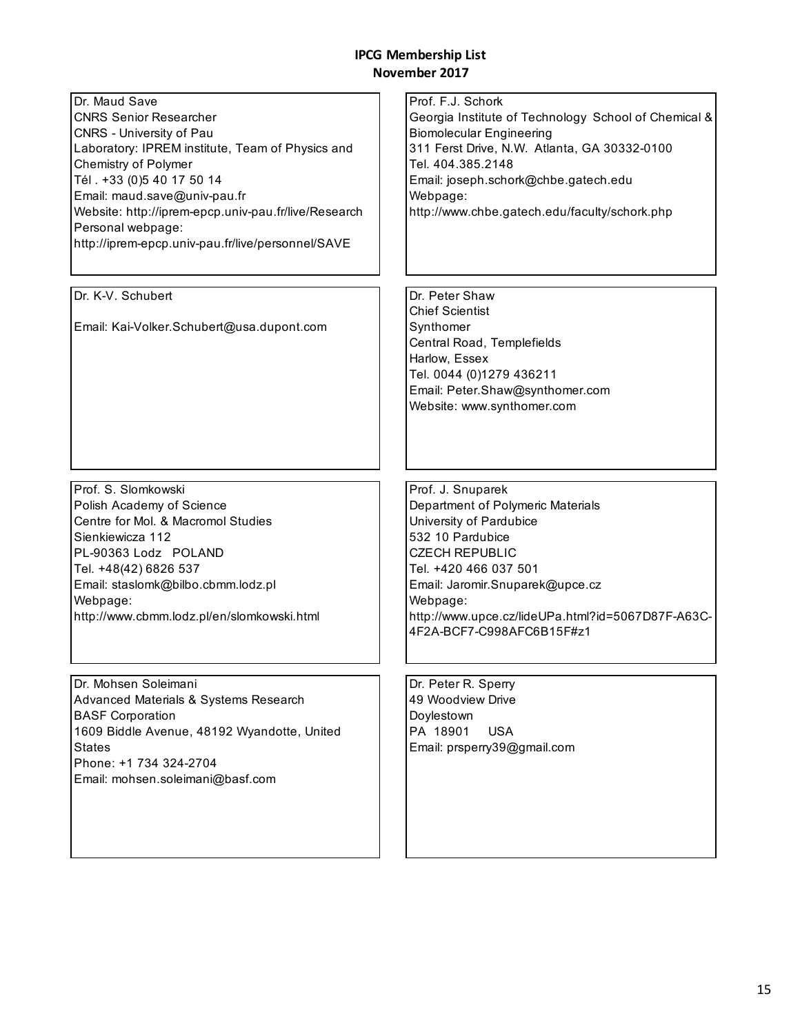| Dr. Maud Save<br><b>CNRS Senior Researcher</b><br>CNRS - University of Pau<br>Laboratory: IPREM institute, Team of Physics and<br>Chemistry of Polymer<br>Tél. +33 (0)5 40 17 50 14<br>Email: maud.save@univ-pau.fr<br>Website: http://iprem-epcp.univ-pau.fr/live/Research<br>Personal webpage:<br>http://iprem-epcp.univ-pau.fr/live/personnel/SAVE | Prof. F.J. Schork<br>Georgia Institute of Technology School of Chemical &<br><b>Biomolecular Engineering</b><br>311 Ferst Drive, N.W. Atlanta, GA 30332-0100<br>Tel. 404.385.2148<br>Email: joseph.schork@chbe.gatech.edu<br>Webpage:<br>http://www.chbe.gatech.edu/faculty/schork.php |
|-------------------------------------------------------------------------------------------------------------------------------------------------------------------------------------------------------------------------------------------------------------------------------------------------------------------------------------------------------|----------------------------------------------------------------------------------------------------------------------------------------------------------------------------------------------------------------------------------------------------------------------------------------|
| Dr. K-V. Schubert<br>Email: Kai-Volker.Schubert@usa.dupont.com                                                                                                                                                                                                                                                                                        | Dr. Peter Shaw<br><b>Chief Scientist</b><br>Synthomer<br>Central Road, Templefields<br>Harlow, Essex<br>Tel. 0044 (0)1279 436211<br>Email: Peter.Shaw@synthomer.com<br>Website: www.synthomer.com                                                                                      |
| Prof. S. Slomkowski                                                                                                                                                                                                                                                                                                                                   | Prof. J. Snuparek                                                                                                                                                                                                                                                                      |
| Polish Academy of Science<br>Centre for Mol. & Macromol Studies<br>Sienkiewicza 112<br>PL-90363 Lodz POLAND<br>Tel. +48(42) 6826 537<br>Email: staslomk@bilbo.cbmm.lodz.pl<br>Webpage:<br>http://www.cbmm.lodz.pl/en/slomkowski.html                                                                                                                  | Department of Polymeric Materials<br>University of Pardubice<br>532 10 Pardubice<br><b>CZECH REPUBLIC</b><br>Tel. +420 466 037 501<br>Email: Jaromir.Snuparek@upce.cz<br>Webpage:<br>http://www.upce.cz/lideUPa.html?id=5067D87F-A63C-<br>4F2A-BCF7-C998AFC6B15F#z1                    |
| Dr. Mohsen Soleimani<br>Advanced Materials & Systems Research<br><b>BASF Corporation</b><br>1609 Biddle Avenue, 48192 Wyandotte, United<br><b>States</b><br>Phone: +1 734 324-2704<br>Email: mohsen.soleimani@basf.com                                                                                                                                | Dr. Peter R. Sperry<br>49 Woodview Drive<br>Doylestown<br>PA 18901<br><b>USA</b><br>Email: prsperry39@gmail.com                                                                                                                                                                        |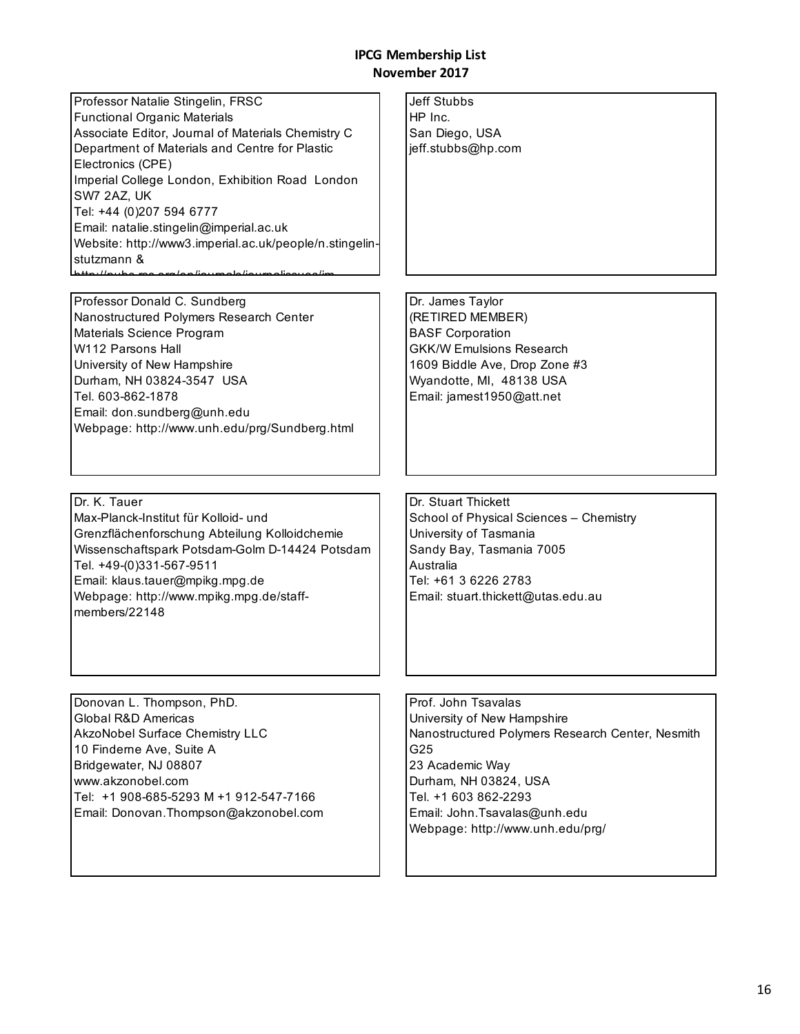Professor Natalie Stingelin, FRSC Functional Organic Materials Associate Editor, Journal of Materials Chemistry C Department of Materials and Centre for Plastic Electronics (CPE) Imperial College London, Exhibition Road London SW7 2AZ, UK Tel: +44 (0)207 594 6777 Email: natalie.stingelin@imperial.ac.uk Website: http://www3.imperial.ac.uk/people/n.stingelinstutzmann & http://pube.ree.org/en/journale/journaliseusa/jm<br>.

Professor Donald C. Sundberg Nanostructured Polymers Research Center Materials Science Program W112 Parsons Hall University of New Hampshire Durham, NH 03824-3547 USA Tel. 603-862-1878 Email: don.sundberg@unh.edu Webpage: http://www.unh.edu/prg/Sundberg.html

Dr. K. Tauer Max-Planck-Institut für Kolloid- und Grenzflächenforschung Abteilung Kolloidchemie Wissenschaftspark Potsdam-Golm D-14424 Potsdam Tel. +49-(0)331-567-9511 Email: klaus.tauer@mpikg.mpg.de Webpage: http://www.mpikg.mpg.de/staffmembers/22148

Jeff Stubbs HP Inc. San Diego, USA jeff.stubbs@hp.com

Dr. James Taylor (RETIRED MEMBER) BASF Corporation GKK/W Emulsions Research 1609 Biddle Ave, Drop Zone #3 Wyandotte, MI, 48138 USA Email: jamest1950@att.net

Dr. Stuart Thickett School of Physical Sciences – Chemistry University of Tasmania Sandy Bay, Tasmania 7005 Australia Tel: +61 3 6226 2783 Email: stuart.thickett@utas.edu.au

Donovan L. Thompson, PhD. Global R&D Americas AkzoNobel Surface Chemistry LLC 10 Finderne Ave, Suite A Bridgewater, NJ 08807 www.akzonobel.com Tel: +1 908-685-5293 M +1 912-547-7166 Email: Donovan.Thompson@akzonobel.com Prof. John Tsavalas University of New Hampshire Nanostructured Polymers Research Center, Nesmith G25 23 Academic Way Durham, NH 03824, USA Tel. +1 603 862-2293 Email: John.Tsavalas@unh.edu Webpage: http://www.unh.edu/prg/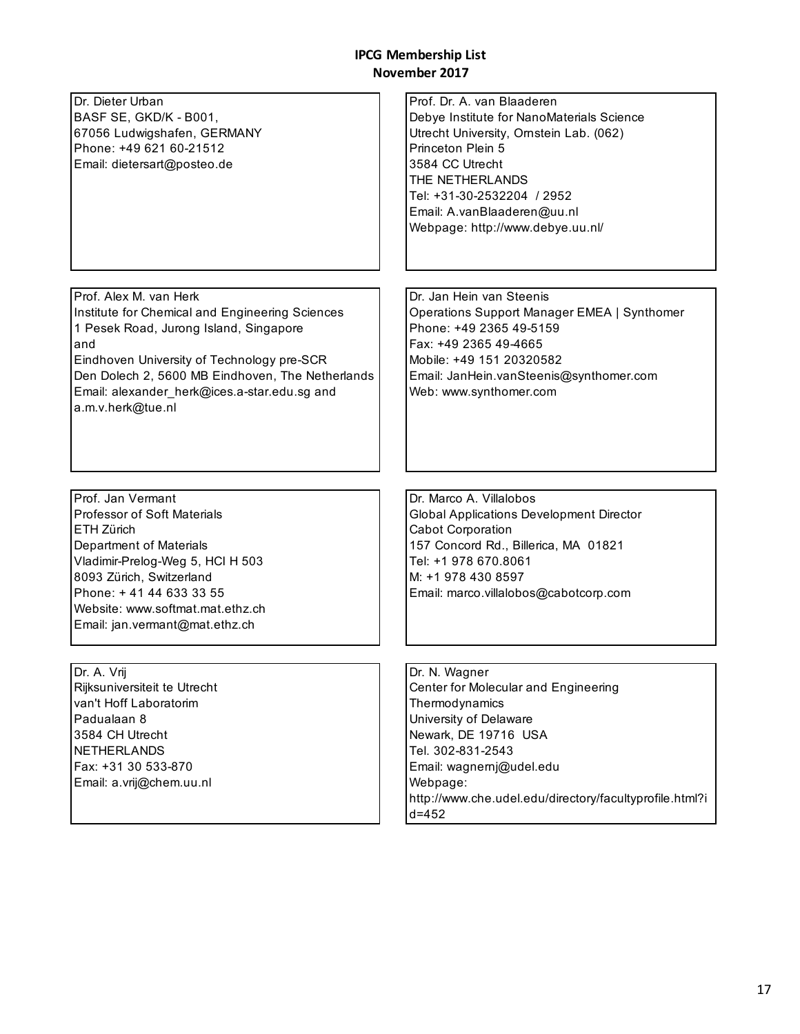÷,

| Dr. Dieter Urban<br>BASF SE, GKD/K - B001,<br>67056 Ludwigshafen, GERMANY<br>Phone: +49 621 60-21512<br>Email: dietersart@posteo.de                                                                                                                               | Prof. Dr. A. van Blaaderen<br>Debye Institute for NanoMaterials Science<br>Utrecht University, Ornstein Lab. (062)<br>Princeton Plein 5<br>3584 CC Utrecht<br>THE NETHERLANDS<br>Tel: +31-30-2532204 / 2952<br>Email: A.vanBlaaderen@uu.nl<br>Webpage: http://www.debye.uu.nl/ |
|-------------------------------------------------------------------------------------------------------------------------------------------------------------------------------------------------------------------------------------------------------------------|--------------------------------------------------------------------------------------------------------------------------------------------------------------------------------------------------------------------------------------------------------------------------------|
| Prof. Alex M. van Herk                                                                                                                                                                                                                                            | Dr. Jan Hein van Steenis                                                                                                                                                                                                                                                       |
| Institute for Chemical and Engineering Sciences                                                                                                                                                                                                                   | Operations Support Manager EMEA   Synthomer                                                                                                                                                                                                                                    |
| 1 Pesek Road, Jurong Island, Singapore                                                                                                                                                                                                                            | Phone: +49 2365 49-5159<br>Fax: +49 2365 49-4665                                                                                                                                                                                                                               |
| and<br>Eindhoven University of Technology pre-SCR                                                                                                                                                                                                                 | Mobile: +49 151 20320582                                                                                                                                                                                                                                                       |
| Den Dolech 2, 5600 MB Eindhoven, The Netherlands                                                                                                                                                                                                                  | Email: JanHein.vanSteenis@synthomer.com                                                                                                                                                                                                                                        |
| Email: alexander_herk@ices.a-star.edu.sg and<br>a.m.v.herk@tue.nl                                                                                                                                                                                                 | Web: www.synthomer.com                                                                                                                                                                                                                                                         |
| Prof. Jan Vermant<br><b>Professor of Soft Materials</b><br>ETH Zürich<br>Department of Materials<br>Vladimir-Prelog-Weg 5, HCl H 503<br>8093 Zürich, Switzerland<br>Phone: +41 44 633 33 55<br>Website: www.softmat.mat.ethz.ch<br>Email: jan.vermant@mat.ethz.ch | Dr. Marco A. Villalobos<br><b>Global Applications Development Director</b><br><b>Cabot Corporation</b><br>157 Concord Rd., Billerica, MA 01821<br>Tel: +1 978 670.8061<br>M: +1 978 430 8597<br>Email: marco.villalobos@cabotcorp.com                                          |
|                                                                                                                                                                                                                                                                   |                                                                                                                                                                                                                                                                                |
| Dr. A. Vrij<br>Rijksuniversiteit te Utrecht                                                                                                                                                                                                                       | Dr. N. Wagner<br>Center for Molecular and Engineering                                                                                                                                                                                                                          |
| van't Hoff Laboratorim                                                                                                                                                                                                                                            | Thermodynamics                                                                                                                                                                                                                                                                 |
| Padualaan 8                                                                                                                                                                                                                                                       | University of Delaware                                                                                                                                                                                                                                                         |
| 3584 CH Utrecht                                                                                                                                                                                                                                                   | Newark, DE 19716 USA                                                                                                                                                                                                                                                           |
| <b>NETHERLANDS</b><br>Fax: +31 30 533-870                                                                                                                                                                                                                         | Tel. 302-831-2543                                                                                                                                                                                                                                                              |
| Email: a.vrij@chem.uu.nl                                                                                                                                                                                                                                          | Email: wagnernj@udel.edu<br>Webpage:                                                                                                                                                                                                                                           |
|                                                                                                                                                                                                                                                                   | http://www.che.udel.edu/directory/facultyprofile.html?i                                                                                                                                                                                                                        |
|                                                                                                                                                                                                                                                                   | $d = 452$                                                                                                                                                                                                                                                                      |
|                                                                                                                                                                                                                                                                   |                                                                                                                                                                                                                                                                                |